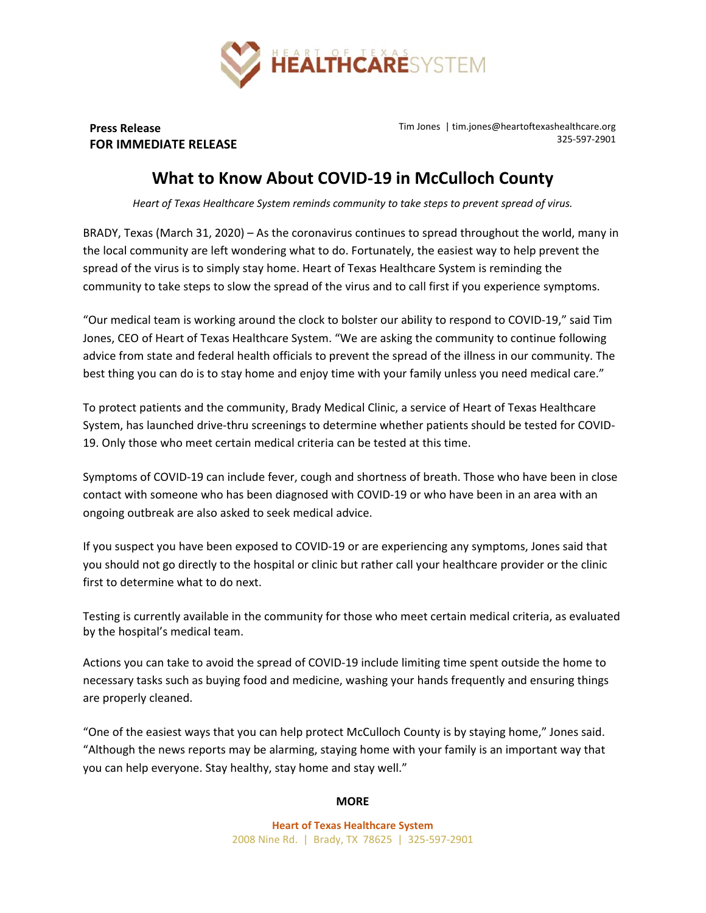

**Press Release FOR IMMEDIATE RELEASE** Tim Jones | tim.jones@heartoftexashealthcare.org 325‐597‐2901

## **What to Know About COVID‐19 in McCulloch County**

*Heart of Texas Healthcare System reminds community to take steps to prevent spread of virus.* 

BRADY, Texas (March 31, 2020) – As the coronavirus continues to spread throughout the world, many in the local community are left wondering what to do. Fortunately, the easiest way to help prevent the spread of the virus is to simply stay home. Heart of Texas Healthcare System is reminding the community to take steps to slow the spread of the virus and to call first if you experience symptoms.

"Our medical team is working around the clock to bolster our ability to respond to COVID‐19," said Tim Jones, CEO of Heart of Texas Healthcare System. "We are asking the community to continue following advice from state and federal health officials to prevent the spread of the illness in our community. The best thing you can do is to stay home and enjoy time with your family unless you need medical care."

To protect patients and the community, Brady Medical Clinic, a service of Heart of Texas Healthcare System, has launched drive‐thru screenings to determine whether patients should be tested for COVID‐ 19. Only those who meet certain medical criteria can be tested at this time.

Symptoms of COVID‐19 can include fever, cough and shortness of breath. Those who have been in close contact with someone who has been diagnosed with COVID‐19 or who have been in an area with an ongoing outbreak are also asked to seek medical advice.

If you suspect you have been exposed to COVID‐19 or are experiencing any symptoms, Jones said that you should not go directly to the hospital or clinic but rather call your healthcare provider or the clinic first to determine what to do next.

Testing is currently available in the community for those who meet certain medical criteria, as evaluated by the hospital's medical team.

Actions you can take to avoid the spread of COVID‐19 include limiting time spent outside the home to necessary tasks such as buying food and medicine, washing your hands frequently and ensuring things are properly cleaned.

"One of the easiest ways that you can help protect McCulloch County is by staying home," Jones said. "Although the news reports may be alarming, staying home with your family is an important way that you can help everyone. Stay healthy, stay home and stay well."

## **MORE**